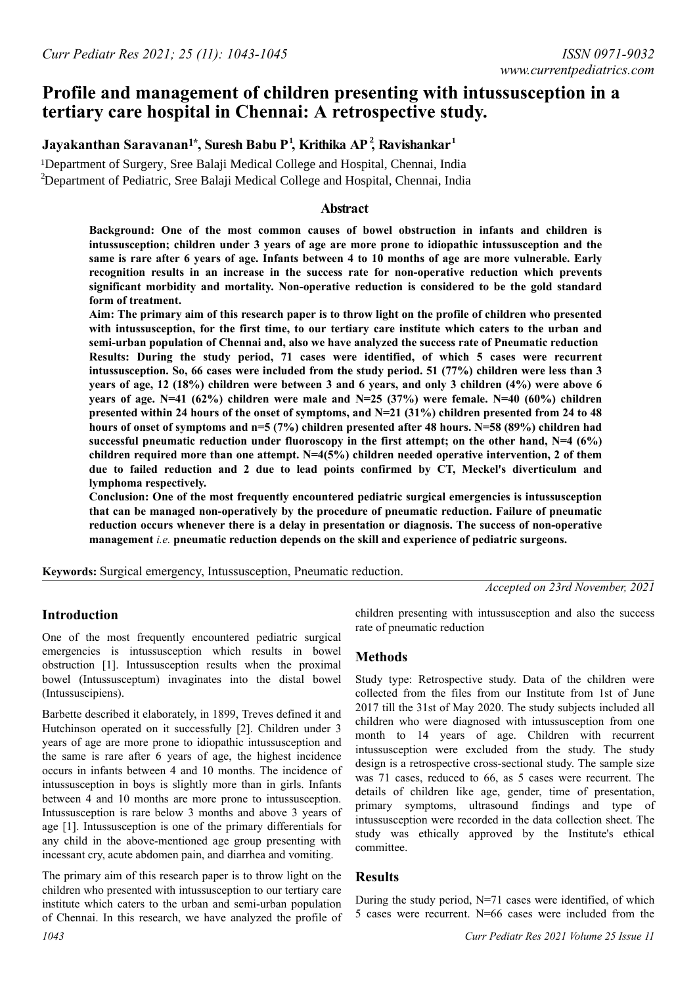# **Profile and management of children presenting with intussusception in a tertiary care hospital in Chennai: A retrospective study.**

## ${\bf J}$ ayakanthan Saravanan<sup>1\*</sup>, Suresh Babu P<sup>1</sup>, Krithika AP<sup>2</sup>, Ravishankar<sup>1</sup>

<sup>2</sup>Department of Pediatric, Sree Balaji Medical College and Hospital, Chennai, India <sup>1</sup>Department of Surgery, Sree Balaji Medical College and Hospital, Chennai, India

### **Abstract**

**Background: One of the most common causes of bowel obstruction in infants and children is intussusception; children under 3 years of age are more prone to idiopathic intussusception and the same is rare after 6 years of age. Infants between 4 to 10 months of age are more vulnerable. Early recognition results in an increase in the success rate for non-operative reduction which prevents significant morbidity and mortality. Non-operative reduction is considered to be the gold standard form of treatment.**

**Aim: The primary aim of this research paper is to throw light on the profile of children who presented with intussusception, for the first time, to our tertiary care institute which caters to the urban and semi-urban population of Chennai and, also we have analyzed the success rate of Pneumatic reduction Results: During the study period, 71 cases were identified, of which 5 cases were recurrent intussusception. So, 66 cases were included from the study period. 51 (77%) children were less than 3 years of age, 12 (18%) children were between 3 and 6 years, and only 3 children (4%) were above 6 years of age. N=41 (62%) children were male and N=25 (37%) were female. N=40 (60%) children presented within 24 hours of the onset of symptoms, and N=21 (31%) children presented from 24 to 48 hours of onset of symptoms and n=5 (7%) children presented after 48 hours. N=58 (89%) children had successful pneumatic reduction under fluoroscopy in the first attempt; on the other hand, N=4 (6%) children required more than one attempt. N=4(5%) children needed operative intervention, 2 of them due to failed reduction and 2 due to lead points confirmed by CT, Meckel's diverticulum and lymphoma respectively.**

**Conclusion: One of the most frequently encountered pediatric surgical emergencies is intussusception that can be managed non-operatively by the procedure of pneumatic reduction. Failure of pneumatic reduction occurs whenever there is a delay in presentation or diagnosis. The success of non-operative management** *i.e.* **pneumatic reduction depends on the skill and experience of pediatric surgeons.**

**Keywords:** Surgical emergency, Intussusception, Pneumatic reduction.

*Accepted on 23rd November, 2021*

## **Introduction**

One of the most frequently encountered pediatric surgical emergencies is intussusception which results in bowel obstruction [1]. Intussusception results when the proximal bowel (Intussusceptum) invaginates into the distal bowel (Intussuscipiens).

Barbette described it elaborately, in 1899, Treves defined it and Hutchinson operated on it successfully [2]. Children under 3 years of age are more prone to idiopathic intussusception and the same is rare after 6 years of age, the highest incidence occurs in infants between 4 and 10 months. The incidence of intussusception in boys is slightly more than in girls. Infants between 4 and 10 months are more prone to intussusception. Intussusception is rare below 3 months and above 3 years of age [1]. Intussusception is one of the primary differentials for any child in the above-mentioned age group presenting with incessant cry, acute abdomen pain, and diarrhea and vomiting.

The primary aim of this research paper is to throw light on the children who presented with intussusception to our tertiary care institute which caters to the urban and semi-urban population of Chennai. In this research, we have analyzed the profile of

children presenting with intussusception and also the success rate of pneumatic reduction

#### **Methods**

Study type: Retrospective study. Data of the children were collected from the files from our Institute from 1st of June 2017 till the 31st of May 2020. The study subjects included all children who were diagnosed with intussusception from one month to 14 years of age. Children with recurrent intussusception were excluded from the study. The study design is a retrospective cross-sectional study. The sample size was 71 cases, reduced to 66, as 5 cases were recurrent. The details of children like age, gender, time of presentation, primary symptoms, ultrasound findings and type of intussusception were recorded in the data collection sheet. The study was ethically approved by the Institute's ethical committee.

#### **Results**

During the study period, N=71 cases were identified, of which 5 cases were recurrent. N=66 cases were included from the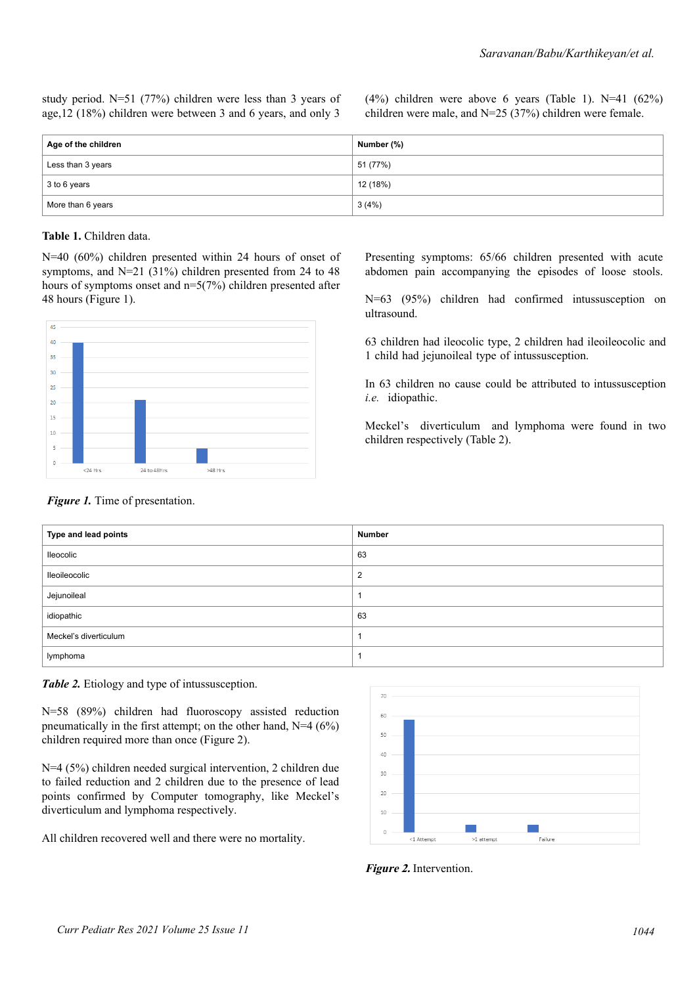study period. N=51 (77%) children were less than 3 years of age,12 (18%) children were between 3 and 6 years, and only 3  $(4%)$  children were above 6 years (Table 1). N=41  $(62%)$ children were male, and N=25 (37%) children were female.

| <sup>∣</sup> Age of the children | Number (%) |
|----------------------------------|------------|
| Less than 3 years                | 51 (77%)   |
| 3 to 6 years                     | 12 (18%)   |
| More than 6 years                | 3(4%)      |

#### **Table 1.** Children data.

N=40 (60%) children presented within 24 hours of onset of symptoms, and N=21 (31%) children presented from 24 to 48 hours of symptoms onset and n=5(7%) children presented after 48 hours (Figure 1).



Presenting symptoms: 65/66 children presented with acute abdomen pain accompanying the episodes of loose stools.

N=63 (95%) children had confirmed intussusception on ultrasound.

63 children had ileocolic type, 2 children had ileoileocolic and 1 child had jejunoileal type of intussusception.

In 63 children no cause could be attributed to intussusception *i.e.* idiopathic.

Meckel's diverticulum and lymphoma were found in two children respectively (Table 2).

#### *Figure 1.* Time of presentation.

| Type and lead points  | Number         |
|-----------------------|----------------|
| lleocolic             | 63             |
| lleoileocolic         | $\overline{2}$ |
| Jejunoileal           |                |
| idiopathic            | 63             |
| Meckel's diverticulum |                |
| lymphoma              |                |

*Table 2.* Etiology and type of intussusception.

N=58 (89%) children had fluoroscopy assisted reduction pneumatically in the first attempt; on the other hand,  $N=4$  (6%) children required more than once (Figure 2).

N=4 (5%) children needed surgical intervention, 2 children due to failed reduction and 2 children due to the presence of lead points confirmed by Computer tomography, like Meckel's diverticulum and lymphoma respectively.

All children recovered well and there were no mortality.



**Figure 2.** Intervention.